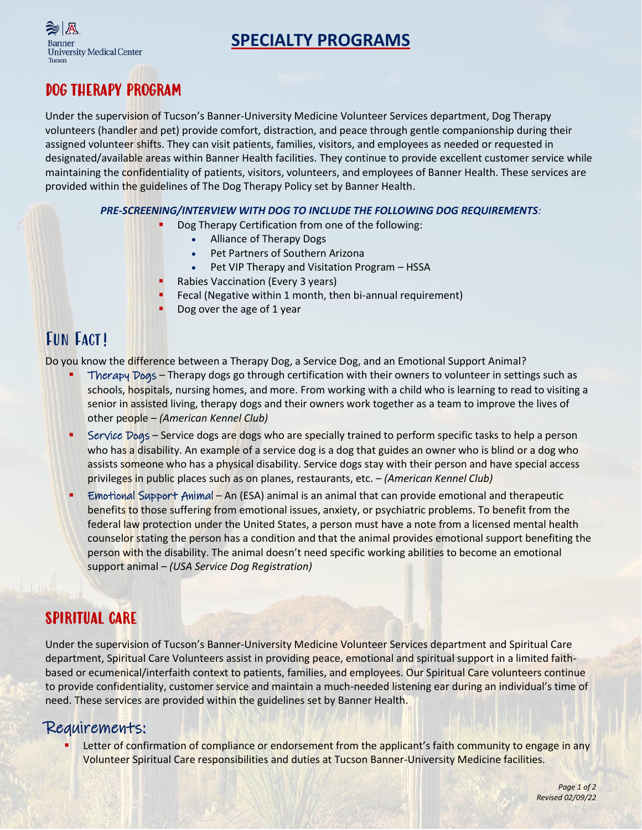



## DOG THERAPY PROGRAM

Under the supervision of Tucson's Banner-University Medicine Volunteer Services department, Dog Therapy volunteers (handler and pet) provide comfort, distraction, and peace through gentle companionship during their assigned volunteer shifts. They can visit patients, families, visitors, and employees as needed or requested in designated/available areas within Banner Health facilities. They continue to provide excellent customer service while maintaining the confidentiality of patients, visitors, volunteers, and employees of Banner Health. These services are provided within the guidelines of The Dog Therapy Policy set by Banner Health.

#### *PRE-SCREENING/INTERVIEW WITH DOG TO INCLUDE THE FOLLOWING DOG REQUIREMENTS:*

- Dog Therapy Certification from one of the following:
	- Alliance of Therapy Dogs
	- Pet Partners of Southern Arizona
	- Pet VIP Therapy and Visitation Program HSSA
	- Rabies Vaccination (Every 3 years)
- Fecal (Negative within 1 month, then bi-annual requirement)
- Dog over the age of 1 year

## FUN FACT!

Do you know the difference between a Therapy Dog, a Service Dog, and an Emotional Support Animal?

- Therapy Dogs Therapy dogs go through certification with their owners to volunteer in settings such as schools, hospitals, nursing homes, and more. From working with a child who is learning to read to visiting a senior in assisted living, therapy dogs and their owners work together as a team to improve the lives of other people – *(American Kennel Club)*
- Service Dogs Service dogs are dogs who are specially trained to perform specific tasks to help a person who has a disability. An example of a service dog is a dog that guides an owner who is blind or a dog who assists someone who has a physical disability. Service dogs stay with their person and have special access privileges in public places such as on planes, restaurants, etc. – *(American Kennel Club)*
- Emotional Support Animal An (ESA) animal is an animal that can provide emotional and therapeutic benefits to those suffering from emotional issues, anxiety, or psychiatric problems. To benefit from the federal law protection under the United States, a person must have a note from a licensed mental health counselor stating the person has a condition and that the animal provides emotional support benefiting the person with the disability. The animal doesn't need specific working abilities to become an emotional support animal – *(USA Service Dog Registration)*

## SPIRITUAL CARE

Under the supervision of Tucson's Banner-University Medicine Volunteer Services department and Spiritual Care department, Spiritual Care Volunteers assist in providing peace, emotional and spiritual support in a limited faithbased or ecumenical/interfaith context to patients, families, and employees. Our Spiritual Care volunteers continue to provide confidentiality, customer service and maintain a much-needed listening ear during an individual's time of need. These services are provided within the guidelines set by Banner Health.

#### Requirements:

Letter of confirmation of compliance or endorsement from the applicant's faith community to engage in any Volunteer Spiritual Care responsibilities and duties at Tucson Banner-University Medicine facilities.